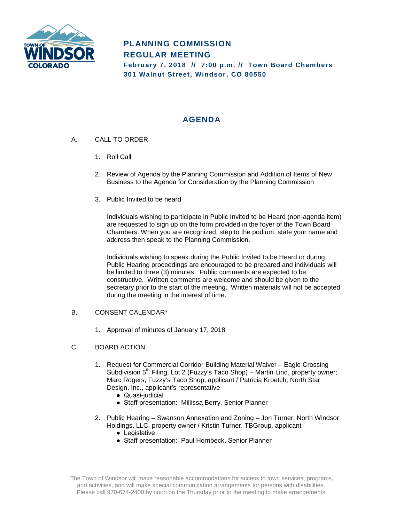

# **PLANNING COMMISSION REGULAR MEETING**

**February 7, 2018 // 7:00 p.m. // Town Board Chambers 301 Walnut Street, Windsor, CO 80550**

## **AGENDA**

- A. CALL TO ORDER
	- 1. Roll Call
	- 2. Review of Agenda by the Planning Commission and Addition of Items of New Business to the Agenda for Consideration by the Planning Commission
	- 3. Public Invited to be heard

Individuals wishing to participate in Public Invited to be Heard (non-agenda item) are requested to sign up on the form provided in the foyer of the Town Board Chambers. When you are recognized, step to the podium, state your name and address then speak to the Planning Commission.

Individuals wishing to speak during the Public Invited to be Heard or during Public Hearing proceedings are encouraged to be prepared and individuals will be limited to three (3) minutes. Public comments are expected to be constructive. Written comments are welcome and should be given to the secretary prior to the start of the meeting. Written materials will not be accepted during the meeting in the interest of time.

#### B. CONSENT CALENDAR\*

1. Approval of minutes of January 17, 2018

#### C. BOARD ACTION

- 1. Request for Commercial Corridor Building Material Waiver Eagle Crossing Subdivision  $5<sup>th</sup>$  Filing, Lot 2 (Fuzzy's Taco Shop) – Martin Lind, property owner; Marc Rogers, Fuzzy's Taco Shop, applicant / Patricia Kroetch, North Star Design, Inc., applicant's representative
	- Quasi-judicial
	- Staff presentation: Millissa Berry, Senior Planner
- 2. Public Hearing Swanson Annexation and Zoning Jon Turner, North Windsor Holdings, LLC, property owner / Kristin Turner, TBGroup, applicant
	- Legislative
	- Staff presentation: Paul Hornbeck, Senior Planner

The Town of Windsor will make reasonable accommodations for access to town services, programs, and activities, and will make special communication arrangements for persons with disabilities. Please call 970-674-2400 by noon on the Thursday prior to the meeting to make arrangements.